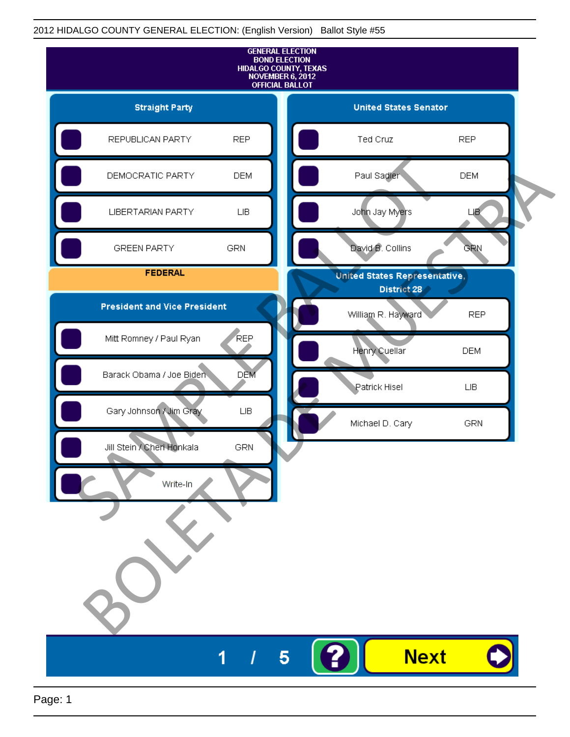## 2012 HIDALGO COUNTY GENERAL ELECTION: (English Version) Ballot Style #55

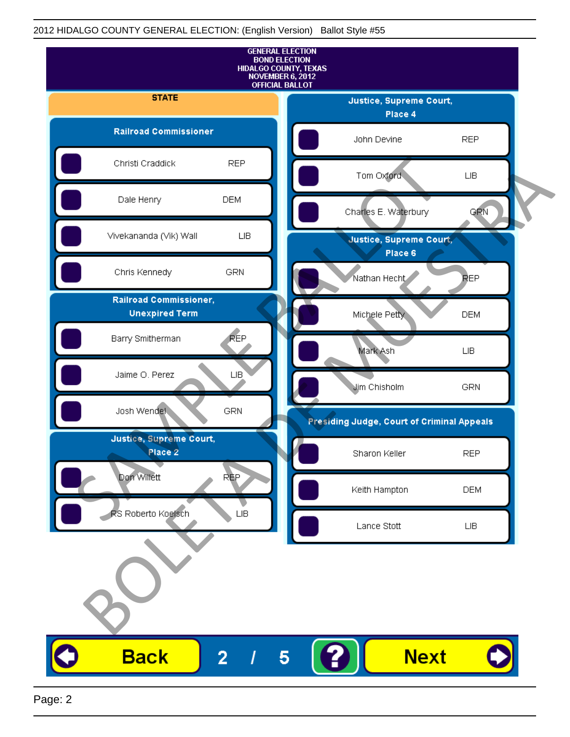## 2012 HIDALGO COUNTY GENERAL ELECTION: (English Version) Ballot Style #55

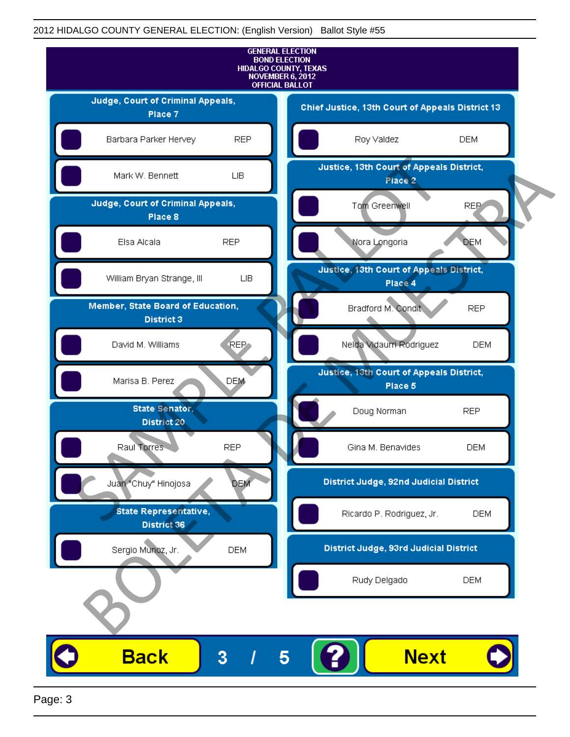## 2012 HIDALGO COUNTY GENERAL ELECTION: (English Version) Ballot Style #55



Page: 3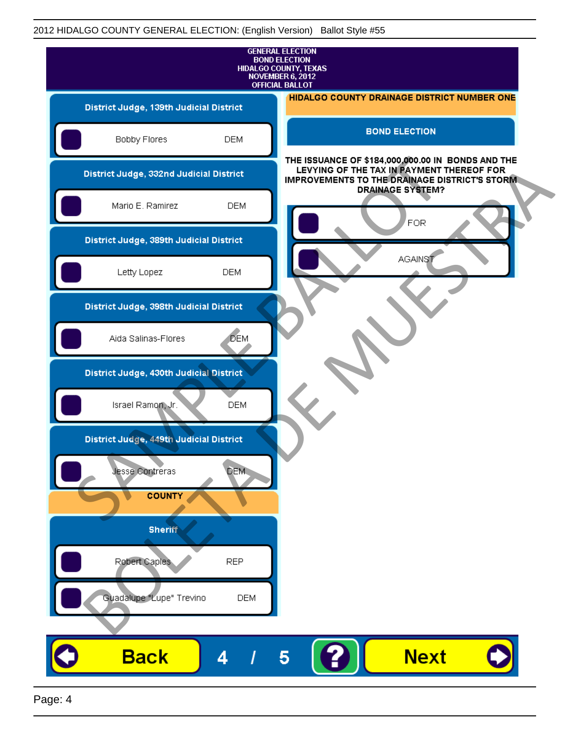|                                         |                                         |            | <b>GENERAL ELECTION</b><br><b>BOND ELECTION</b><br>HIDALGO COUNTY, TEXAS<br>NOVEMBER 6, 2012<br><b>OFFICIAL BALLOT</b>                                                             |
|-----------------------------------------|-----------------------------------------|------------|------------------------------------------------------------------------------------------------------------------------------------------------------------------------------------|
|                                         | District Judge, 139th Judicial District |            | HIDALGO COUNTY DRAINAGE DISTRICT NUMBER ONE                                                                                                                                        |
|                                         | Bobby Flores                            | <b>DEM</b> | <b>BOND ELECTION</b>                                                                                                                                                               |
| District Judge, 332nd Judicial District |                                         |            | THE ISSUANCE OF \$184,000,000.00 IN BONDS AND THE<br>LEVYING OF THE TAX IN PAYMENT THEREOF FOR<br><b>IMPROVEMENTS TO THE DRAINAGE DISTRICT'S STORM.</b><br><b>DRAINAGE SYSTEM?</b> |
|                                         | Mario E. Ramirez                        | <b>DEM</b> | <b>FOR</b>                                                                                                                                                                         |
|                                         | District Judge, 389th Judicial District |            |                                                                                                                                                                                    |
|                                         | Letty Lopez                             | <b>DEM</b> | AGAINS1                                                                                                                                                                            |
|                                         | District Judge, 398th Judicial District |            |                                                                                                                                                                                    |
|                                         | Aida Salinas-Flores                     | <b>DEM</b> |                                                                                                                                                                                    |
|                                         | District Judge, 430th Judicial District |            |                                                                                                                                                                                    |
|                                         | Israel Ramon, Jr.                       | <b>DEM</b> |                                                                                                                                                                                    |
|                                         | District Judge, 449th Judicial District |            |                                                                                                                                                                                    |
|                                         | <b>Jesse Contreras</b>                  | <b>DEM</b> |                                                                                                                                                                                    |
|                                         | <b>COUNTY</b>                           |            |                                                                                                                                                                                    |
|                                         | <b>Sheriff</b>                          |            |                                                                                                                                                                                    |
|                                         | Robert Caples                           | <b>REP</b> |                                                                                                                                                                                    |
|                                         | Guadalupe "Lupe" Trevino                | <b>DEM</b> |                                                                                                                                                                                    |
|                                         |                                         |            |                                                                                                                                                                                    |
|                                         | <b>Back</b>                             | 4          | <b>Next</b><br>5                                                                                                                                                                   |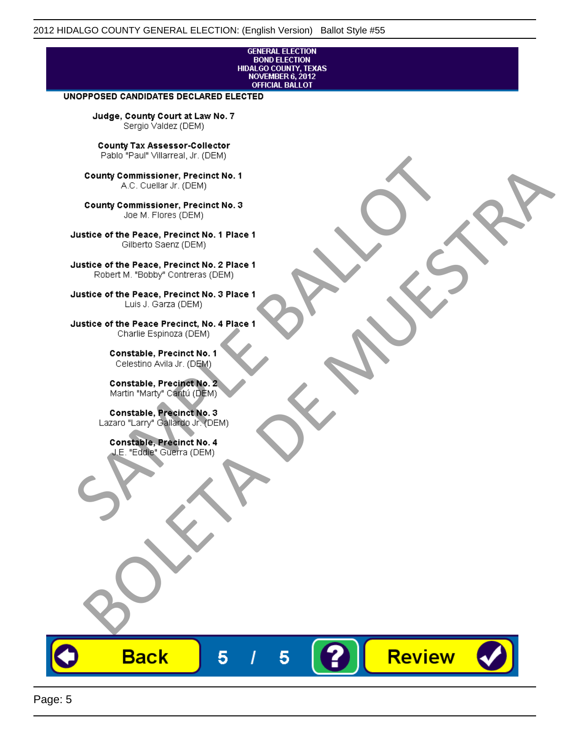### **GENERAL ELECTION BOND ELECTION** HIDALGO COUNTY, TEXAS<br>NOVEMBER 6, 2012 **OFFICIAL BALLOT**

Review

#### UNOPPOSED CANDIDATES DECLARED ELECTED

Judge, County Court at Law No. 7 Sergio Valdez (DEM)

County Tax Assessor-Collector

Frame The Passe, Precinct No. 1<br>
County Commissioner, Precinct No. 1<br>
SC. Cutellar Jr. (DEM)<br>
County Commissioner, Precinct No. 2<br>
Ulastice of the Peace, Precinct No. 2<br>
Ulastice of the Peace, Precinct No. 2<br>
Robert M. "Bl County Commissioner, Precinat No. 1<br>
A County Commissioner, Precinat No. 3<br>
Use of the Peace, Precinat No. 3<br>
Use of the Peace, Precinat No. 1<br>
There is a precinc No. 2<br>
There is a precinc No. 2<br>
There is a precinc No. 2<br>

**Back** 

5

5

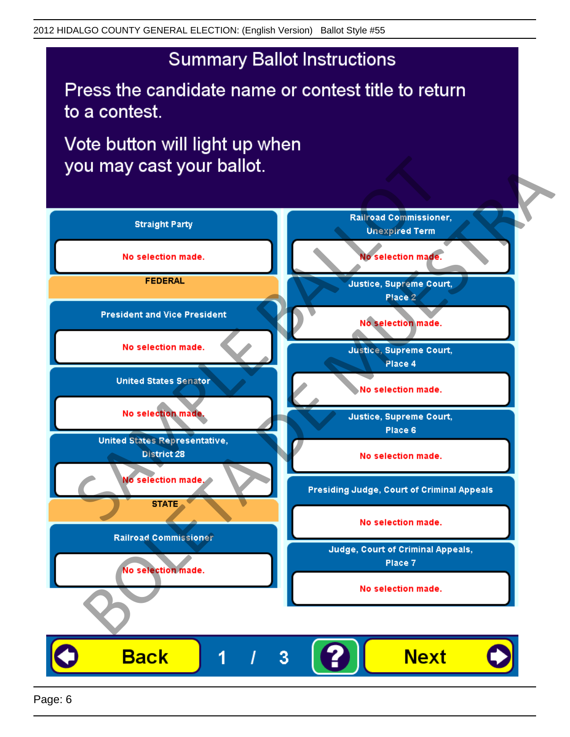# **Summary Ballot Instructions**

Press the candidate name or contest title to return to a contest.

Vote button will light up when

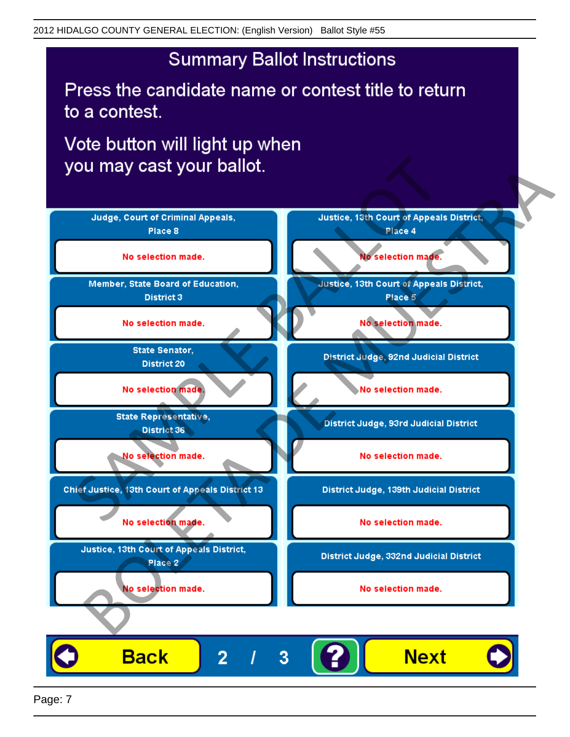## **Summary Ballot Instructions**

Press the candidate name or contest title to return to a contest.

Vote button will light up when